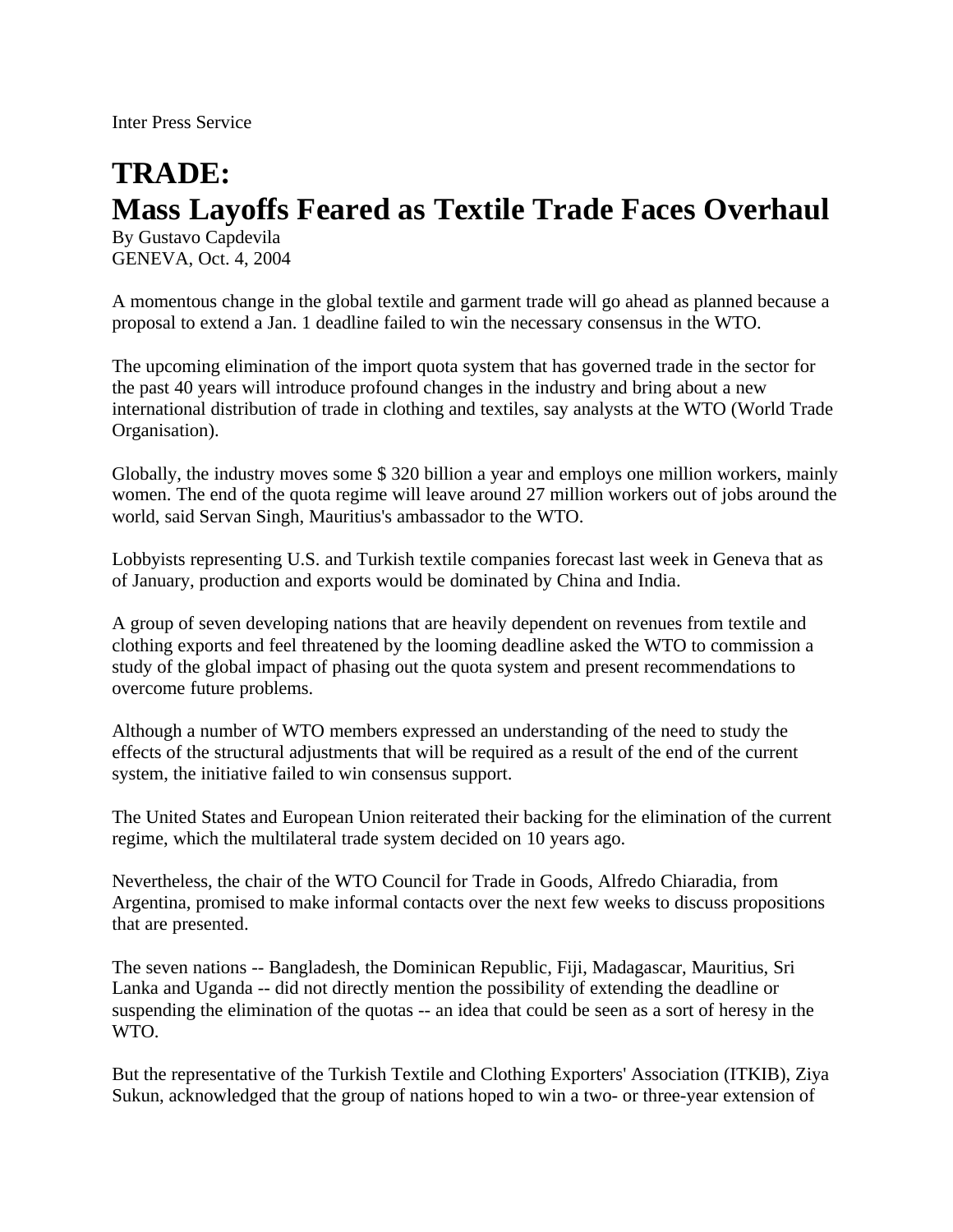Inter Press Service

## **TRADE: Mass Layoffs Feared as Textile Trade Faces Overhaul**

By Gustavo Capdevila GENEVA, Oct. 4, 2004

A momentous change in the global textile and garment trade will go ahead as planned because a proposal to extend a Jan. 1 deadline failed to win the necessary consensus in the WTO.

The upcoming elimination of the import quota system that has governed trade in the sector for the past 40 years will introduce profound changes in the industry and bring about a new international distribution of trade in clothing and textiles, say analysts at the WTO (World Trade Organisation).

Globally, the industry moves some \$ 320 billion a year and employs one million workers, mainly women. The end of the quota regime will leave around 27 million workers out of jobs around the world, said Servan Singh, Mauritius's ambassador to the WTO.

Lobbyists representing U.S. and Turkish textile companies forecast last week in Geneva that as of January, production and exports would be dominated by China and India.

A group of seven developing nations that are heavily dependent on revenues from textile and clothing exports and feel threatened by the looming deadline asked the WTO to commission a study of the global impact of phasing out the quota system and present recommendations to overcome future problems.

Although a number of WTO members expressed an understanding of the need to study the effects of the structural adjustments that will be required as a result of the end of the current system, the initiative failed to win consensus support.

The United States and European Union reiterated their backing for the elimination of the current regime, which the multilateral trade system decided on 10 years ago.

Nevertheless, the chair of the WTO Council for Trade in Goods, Alfredo Chiaradia, from Argentina, promised to make informal contacts over the next few weeks to discuss propositions that are presented.

The seven nations -- Bangladesh, the Dominican Republic, Fiji, Madagascar, Mauritius, Sri Lanka and Uganda -- did not directly mention the possibility of extending the deadline or suspending the elimination of the quotas -- an idea that could be seen as a sort of heresy in the WTO.

But the representative of the Turkish Textile and Clothing Exporters' Association (ITKIB), Ziya Sukun, acknowledged that the group of nations hoped to win a two- or three-year extension of